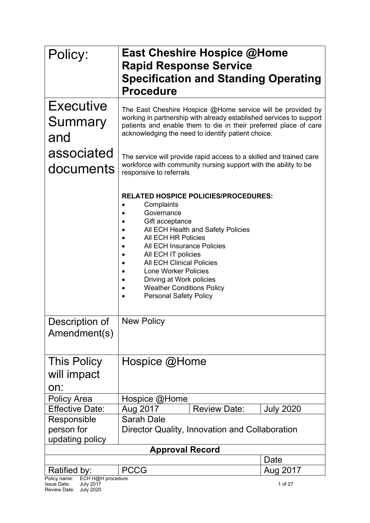| Policy:                                                             | <b>East Cheshire Hospice @Home</b>                                                                                                                                                                                                                                                                                                                                               |                  |  |  |  |
|---------------------------------------------------------------------|----------------------------------------------------------------------------------------------------------------------------------------------------------------------------------------------------------------------------------------------------------------------------------------------------------------------------------------------------------------------------------|------------------|--|--|--|
|                                                                     | <b>Rapid Response Service</b>                                                                                                                                                                                                                                                                                                                                                    |                  |  |  |  |
|                                                                     | <b>Specification and Standing Operating</b>                                                                                                                                                                                                                                                                                                                                      |                  |  |  |  |
|                                                                     | <b>Procedure</b>                                                                                                                                                                                                                                                                                                                                                                 |                  |  |  |  |
| Executive<br>Summary<br>and                                         | The East Cheshire Hospice @Home service will be provided by<br>working in partnership with already established services to support<br>patients and enable them to die in their preferred place of care<br>acknowledging the need to identify patient choice.                                                                                                                     |                  |  |  |  |
| associated<br>documents                                             | The service will provide rapid access to a skilled and trained care<br>workforce with community nursing support with the ability to be<br>responsive to referrals                                                                                                                                                                                                                |                  |  |  |  |
|                                                                     | <b>RELATED HOSPICE POLICIES/PROCEDURES:</b><br>Complaints<br>Governance<br>Gift acceptance<br>All ECH Health and Safety Policies<br>All ECH HR Policies<br>All ECH Insurance Policies<br>All ECH IT policies<br><b>All ECH Clinical Policies</b><br><b>Lone Worker Policies</b><br>Driving at Work policies<br><b>Weather Conditions Policy</b><br><b>Personal Safety Policy</b> |                  |  |  |  |
| Description of<br>Amendment(s)                                      | <b>New Policy</b>                                                                                                                                                                                                                                                                                                                                                                |                  |  |  |  |
| <b>This Policy</b><br>will impact<br>on:                            | Hospice @Home                                                                                                                                                                                                                                                                                                                                                                    |                  |  |  |  |
| <b>Policy Area</b>                                                  | Hospice @Home                                                                                                                                                                                                                                                                                                                                                                    |                  |  |  |  |
| <b>Effective Date:</b>                                              | Aug 2017<br><b>Review Date:</b>                                                                                                                                                                                                                                                                                                                                                  | <b>July 2020</b> |  |  |  |
| Responsible<br>person for<br>updating policy                        | <b>Sarah Dale</b><br>Director Quality, Innovation and Collaboration                                                                                                                                                                                                                                                                                                              |                  |  |  |  |
|                                                                     | <b>Approval Record</b>                                                                                                                                                                                                                                                                                                                                                           |                  |  |  |  |
| Ratified by:                                                        | <b>PCCG</b>                                                                                                                                                                                                                                                                                                                                                                      | Date             |  |  |  |
| ECH H@H procedure<br>Policy name:                                   |                                                                                                                                                                                                                                                                                                                                                                                  | Aug 2017         |  |  |  |
| <b>July 2017</b><br>Issue Date:<br><b>July 2020</b><br>Review Date: |                                                                                                                                                                                                                                                                                                                                                                                  | 1 of 27          |  |  |  |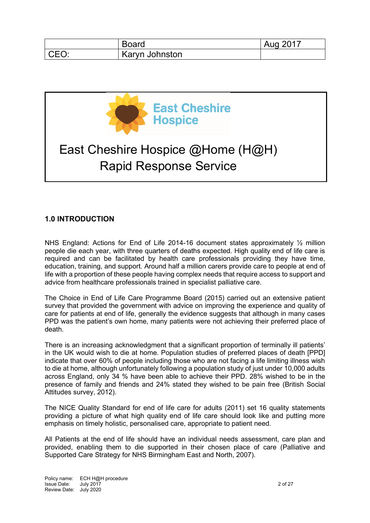|      | <b>Board</b>   | Aug 2017 |
|------|----------------|----------|
| CEO: | Karyn Johnston |          |



# **1.0 INTRODUCTION**

NHS England: Actions for End of Life 2014-16 document states approximately 1/2 million people die each year, with three quarters of deaths expected. High quality end of life care is required and can be facilitated by health care professionals providing they have time, education, training, and support. Around half a million carers provide care to people at end of life with a proportion of these people having complex needs that require access to support and advice from healthcare professionals trained in specialist palliative care.

The Choice in End of Life Care Programme Board (2015) carried out an extensive patient survey that provided the government with advice on improving the experience and quality of care for patients at end of life, generally the evidence suggests that although in many cases PPD was the patient's own home, many patients were not achieving their preferred place of death.

There is an increasing acknowledgment that a significant proportion of terminally ill patients' in the UK would wish to die at home. Population studies of preferred places of death [PPD] indicate that over 60% of people including those who are not facing a life limiting illness wish to die at home, although unfortunately following a population study of just under 10,000 adults across England, only 34 % have been able to achieve their PPD. 28% wished to be in the presence of family and friends and 24% stated they wished to be pain free (British Social Attitudes survey, 2012).

The NICE Quality Standard for end of life care for adults (2011) set 16 quality statements providing a picture of what high quality end of life care should look like and putting more emphasis on timely holistic, personalised care, appropriate to patient need.

All Patients at the end of life should have an individual needs assessment, care plan and provided, enabling them to die supported in their chosen place of care (Palliative and Supported Care Strategy for NHS Birmingham East and North, 2007).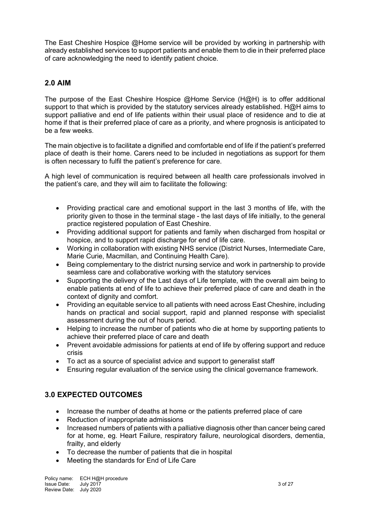The East Cheshire Hospice @Home service will be provided by working in partnership with already established services to support patients and enable them to die in their preferred place of care acknowledging the need to identify patient choice.

## **2.0 AIM**

The purpose of the East Cheshire Hospice @Home Service (H@H) is to offer additional support to that which is provided by the statutory services already established. H@H aims to support palliative and end of life patients within their usual place of residence and to die at home if that is their preferred place of care as a priority, and where prognosis is anticipated to be a few weeks.

The main objective is to facilitate a dignified and comfortable end of life if the patient's preferred place of death is their home. Carers need to be included in negotiations as support for them is often necessary to fulfil the patient's preference for care.

A high level of communication is required between all health care professionals involved in the patient's care, and they will aim to facilitate the following:

- Providing practical care and emotional support in the last 3 months of life, with the priority given to those in the terminal stage - the last days of life initially, to the general practice registered population of East Cheshire.
- Providing additional support for patients and family when discharged from hospital or hospice, and to support rapid discharge for end of life care.
- Working in collaboration with existing NHS service (District Nurses, Intermediate Care, Marie Curie, Macmillan, and Continuing Health Care).
- Being complementary to the district nursing service and work in partnership to provide seamless care and collaborative working with the statutory services
- Supporting the delivery of the Last days of Life template, with the overall aim being to enable patients at end of life to achieve their preferred place of care and death in the context of dignity and comfort.
- Providing an equitable service to all patients with need across East Cheshire, including hands on practical and social support, rapid and planned response with specialist assessment during the out of hours period.
- Helping to increase the number of patients who die at home by supporting patients to achieve their preferred place of care and death
- Prevent avoidable admissions for patients at end of life by offering support and reduce crisis
- To act as a source of specialist advice and support to generalist staff
- Ensuring regular evaluation of the service using the clinical governance framework.

# **3.0 EXPECTED OUTCOMES**

- Increase the number of deaths at home or the patients preferred place of care
- Reduction of inappropriate admissions
- Increased numbers of patients with a palliative diagnosis other than cancer being cared for at home, eg. Heart Failure, respiratory failure, neurological disorders, dementia, frailty, and elderly
- To decrease the number of patients that die in hospital
- Meeting the standards for End of Life Care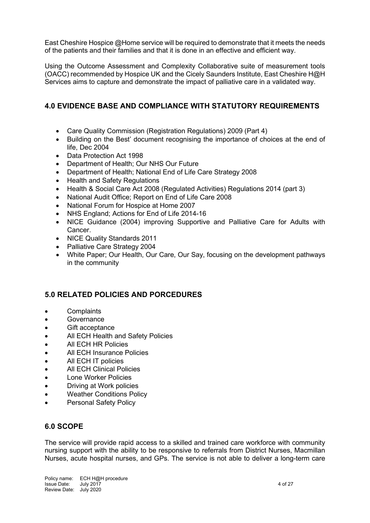East Cheshire Hospice @Home service will be required to demonstrate that it meets the needs of the patients and their families and that it is done in an effective and efficient way.

Using the Outcome Assessment and Complexity Collaborative suite of measurement tools (OACC) recommended by Hospice UK and the Cicely Saunders Institute, East Cheshire H@H Services aims to capture and demonstrate the impact of palliative care in a validated way.

# **4.0 EVIDENCE BASE AND COMPLIANCE WITH STATUTORY REQUIREMENTS**

- Care Quality Commission (Registration Regulations) 2009 (Part 4)
- Building on the Best' document recognising the importance of choices at the end of life, Dec 2004
- Data Protection Act 1998
- Department of Health; Our NHS Our Future
- Department of Health; National End of Life Care Strategy 2008
- Health and Safety Regulations
- Health & Social Care Act 2008 (Regulated Activities) Regulations 2014 (part 3)
- National Audit Office; Report on End of Life Care 2008
- National Forum for Hospice at Home 2007
- NHS England; Actions for End of Life 2014-16
- NICE Guidance (2004) improving Supportive and Palliative Care for Adults with Cancer.
- NICE Quality Standards 2011
- Palliative Care Strategy 2004
- White Paper; Our Health, Our Care, Our Say, focusing on the development pathways in the community

## **5.0 RELATED POLICIES AND PORCEDURES**

- Complaints
- Governance
- Gift acceptance
- All ECH Health and Safety Policies
- All ECH HR Policies
- All ECH Insurance Policies
- All ECH IT policies
- **All ECH Clinical Policies**
- Lone Worker Policies
- Driving at Work policies
- Weather Conditions Policy
- Personal Safety Policy

## **6.0 SCOPE**

The service will provide rapid access to a skilled and trained care workforce with community nursing support with the ability to be responsive to referrals from District Nurses, Macmillan Nurses, acute hospital nurses, and GPs. The service is not able to deliver a long-term care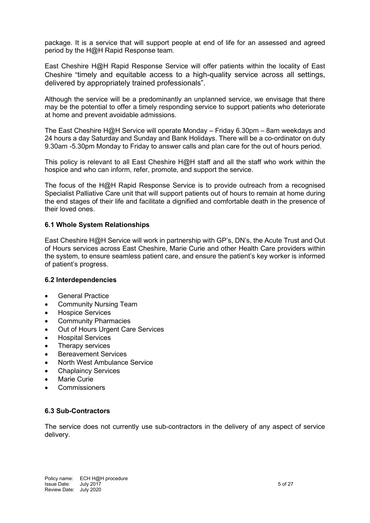package. It is a service that will support people at end of life for an assessed and agreed period by the H@H Rapid Response team.

East Cheshire H@H Rapid Response Service will offer patients within the locality of East Cheshire "timely and equitable access to a high-quality service across all settings, delivered by appropriately trained professionals".

Although the service will be a predominantly an unplanned service, we envisage that there may be the potential to offer a timely responding service to support patients who deteriorate at home and prevent avoidable admissions.

The East Cheshire H@H Service will operate Monday – Friday 6.30pm – 8am weekdays and 24 hours a day Saturday and Sunday and Bank Holidays. There will be a co-ordinator on duty 9.30am -5.30pm Monday to Friday to answer calls and plan care for the out of hours period.

This policy is relevant to all East Cheshire H@H staff and all the staff who work within the hospice and who can inform, refer, promote, and support the service.

The focus of the H@H Rapid Response Service is to provide outreach from a recognised Specialist Palliative Care unit that will support patients out of hours to remain at home during the end stages of their life and facilitate a dignified and comfortable death in the presence of their loved ones.

### **6.1 Whole System Relationships**

East Cheshire H@H Service will work in partnership with GP's, DN's, the Acute Trust and Out of Hours services across East Cheshire, Marie Curie and other Health Care providers within the system, to ensure seamless patient care, and ensure the patient's key worker is informed of patient's progress.

### **6.2 Interdependencies**

- General Practice
- Community Nursing Team
- Hospice Services
- Community Pharmacies
- Out of Hours Urgent Care Services
- Hospital Services
- Therapy services
- Bereavement Services
- North West Ambulance Service
- Chaplaincy Services
- Marie Curie
- **Commissioners**

### **6.3 Sub-Contractors**

The service does not currently use sub-contractors in the delivery of any aspect of service delivery.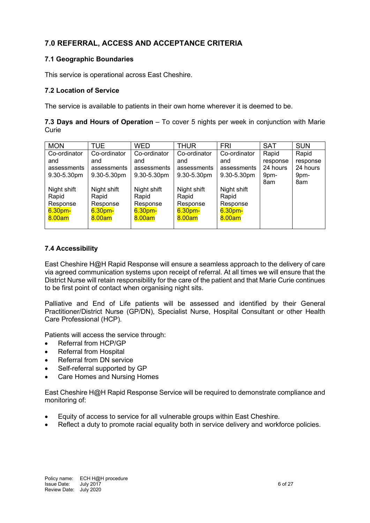# **7.0 REFERRAL, ACCESS AND ACCEPTANCE CRITERIA**

### **7.1 Geographic Boundaries**

This service is operational across East Cheshire.

## **7.2 Location of Service**

The service is available to patients in their own home wherever it is deemed to be.

| 7.3 Days and Hours of Operation - To cover 5 nights per week in conjunction with Marie |  |  |  |  |
|----------------------------------------------------------------------------------------|--|--|--|--|
| Curie                                                                                  |  |  |  |  |

| <b>MON</b>         | <b>TUE</b>       | <b>WED</b>         | <b>THUR</b>        | <b>FRI</b>         | <b>SAT</b> | <b>SUN</b> |
|--------------------|------------------|--------------------|--------------------|--------------------|------------|------------|
| Co-ordinator       | Co-ordinator     | Co-ordinator       | Co-ordinator       | Co-ordinator       | Rapid      | Rapid      |
| and                | and              | and                | and                | and                | response   | response   |
| assessments        | assessments      | assessments        | assessments        | assessments        | 24 hours   | 24 hours   |
| $9.30 - 5.30$ pm   | $9.30 - 5.30$ pm | $9.30 - 5.30$ pm   | $9.30 - 5.30$ pm   | $9.30 - 5.30$ pm   | 9pm-       | 9pm-       |
|                    |                  |                    |                    |                    | 8am        | 8am        |
| Night shift        | Night shift      | Night shift        | Night shift        | Night shift        |            |            |
| Rapid              | Rapid            | Rapid              | Rapid              | Rapid              |            |            |
| Response           | Response         | Response           | Response           | Response           |            |            |
| 6.30 <sub>pm</sub> | 6.30pm-          | 6.30 <sub>pm</sub> | 6.30 <sub>pm</sub> | 6.30 <sub>pm</sub> |            |            |
| 8.00am             | 8.00am           | 8.00am             | 8.00am             | 8.00am             |            |            |
|                    |                  |                    |                    |                    |            |            |

## **7.4 Accessibility**

East Cheshire H@H Rapid Response will ensure a seamless approach to the delivery of care via agreed communication systems upon receipt of referral. At all times we will ensure that the District Nurse will retain responsibility for the care of the patient and that Marie Curie continues to be first point of contact when organising night sits.

Palliative and End of Life patients will be assessed and identified by their General Practitioner/District Nurse (GP/DN), Specialist Nurse, Hospital Consultant or other Health Care Professional (HCP).

Patients will access the service through:

- Referral from HCP/GP
- Referral from Hospital
- Referral from DN service
- Self-referral supported by GP
- Care Homes and Nursing Homes

East Cheshire H@H Rapid Response Service will be required to demonstrate compliance and monitoring of:

- Equity of access to service for all vulnerable groups within East Cheshire.
- Reflect a duty to promote racial equality both in service delivery and workforce policies.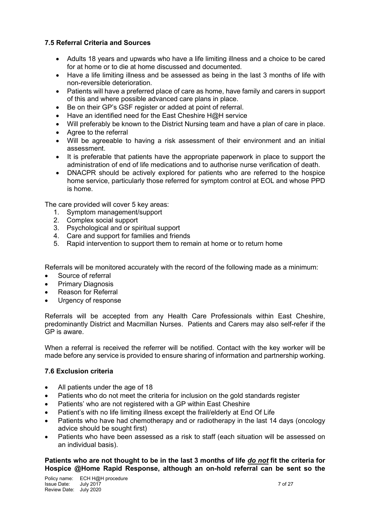## **7.5 Referral Criteria and Sources**

- Adults 18 years and upwards who have a life limiting illness and a choice to be cared for at home or to die at home discussed and documented.
- Have a life limiting illness and be assessed as being in the last 3 months of life with non-reversible deterioration.
- Patients will have a preferred place of care as home, have family and carers in support of this and where possible advanced care plans in place.
- Be on their GP's GSF register or added at point of referral.
- Have an identified need for the East Cheshire  $H@H$  service
- Will preferably be known to the District Nursing team and have a plan of care in place.
- Agree to the referral
- Will be agreeable to having a risk assessment of their environment and an initial assessment.
- It is preferable that patients have the appropriate paperwork in place to support the administration of end of life medications and to authorise nurse verification of death.
- DNACPR should be actively explored for patients who are referred to the hospice home service, particularly those referred for symptom control at EOL and whose PPD is home.

The care provided will cover 5 key areas:

- 1. Symptom management/support
- 2. Complex social support
- 3. Psychological and or spiritual support
- 4. Care and support for families and friends
- 5. Rapid intervention to support them to remain at home or to return home

Referrals will be monitored accurately with the record of the following made as a minimum:

- Source of referral
- Primary Diagnosis
- Reason for Referral
- Urgency of response

Referrals will be accepted from any Health Care Professionals within East Cheshire, predominantly District and Macmillan Nurses. Patients and Carers may also self-refer if the GP is aware.

When a referral is received the referrer will be notified. Contact with the key worker will be made before any service is provided to ensure sharing of information and partnership working.

### **7.6 Exclusion criteria**

- All patients under the age of 18
- Patients who do not meet the criteria for inclusion on the gold standards register
- Patients' who are not registered with a GP within East Cheshire
- Patient's with no life limiting illness except the frail/elderly at End Of Life
- Patients who have had chemotherapy and or radiotherapy in the last 14 days (oncology advice should be sought first)
- Patients who have been assessed as a risk to staff (each situation will be assessed on an individual basis).

### **Patients who are not thought to be in the last 3 months of life** *do not* **fit the criteria for Hospice @Home Rapid Response, although an on-hold referral can be sent so the**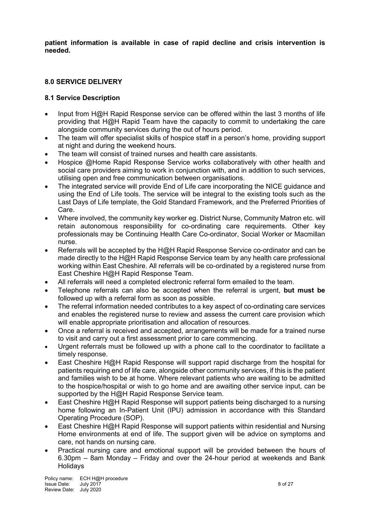**patient information is available in case of rapid decline and crisis intervention is needed.**

### **8.0 SERVICE DELIVERY**

### **8.1 Service Description**

- Input from H@H Rapid Response service can be offered within the last 3 months of life providing that H@H Rapid Team have the capacity to commit to undertaking the care alongside community services during the out of hours period.
- The team will offer specialist skills of hospice staff in a person's home, providing support at night and during the weekend hours.
- The team will consist of trained nurses and health care assistants.
- Hospice @Home Rapid Response Service works collaboratively with other health and social care providers aiming to work in conjunction with, and in addition to such services, utilising open and free communication between organisations.
- The integrated service will provide End of Life care incorporating the NICE guidance and using the End of Life tools. The service will be integral to the existing tools such as the Last Days of Life template, the Gold Standard Framework, and the Preferred Priorities of Care.
- Where involved, the community key worker eg. District Nurse, Community Matron etc. will retain autonomous responsibility for co-ordinating care requirements. Other key professionals may be Continuing Health Care Co-ordinator, Social Worker or Macmillan nurse.
- Referrals will be accepted by the H@H Rapid Response Service co-ordinator and can be made directly to the H@H Rapid Response Service team by any health care professional working within East Cheshire. All referrals will be co-ordinated by a registered nurse from East Cheshire H@H Rapid Response Team.
- All referrals will need a completed electronic referral form emailed to the team.
- Telephone referrals can also be accepted when the referral is urgent, **but must be** followed up with a referral form as soon as possible.
- The referral information needed contributes to a key aspect of co-ordinating care services and enables the registered nurse to review and assess the current care provision which will enable appropriate prioritisation and allocation of resources.
- Once a referral is received and accepted, arrangements will be made for a trained nurse to visit and carry out a first assessment prior to care commencing.
- Urgent referrals must be followed up with a phone call to the coordinator to facilitate a timely response.
- East Cheshire H@H Rapid Response will support rapid discharge from the hospital for patients requiring end of life care, alongside other community services, if this is the patient and families wish to be at home. Where relevant patients who are waiting to be admitted to the hospice/hospital or wish to go home and are awaiting other service input, can be supported by the H@H Rapid Response Service team.
- East Cheshire H@H Rapid Response will support patients being discharged to a nursing home following an In-Patient Unit (IPU) admission in accordance with this Standard Operating Procedure (SOP).
- East Cheshire H@H Rapid Response will support patients within residential and Nursing Home environments at end of life. The support given will be advice on symptoms and care, not hands on nursing care.
- Practical nursing care and emotional support will be provided between the hours of 6.30pm – 8am Monday – Friday and over the 24-hour period at weekends and Bank **Holidavs**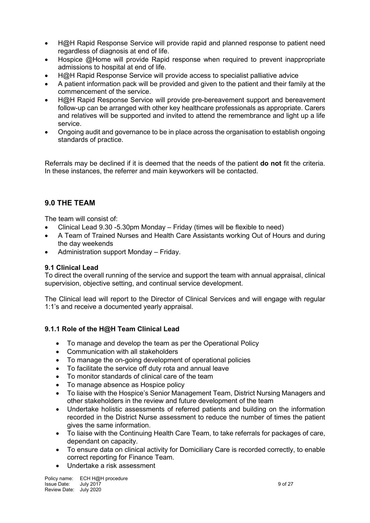- H@H Rapid Response Service will provide rapid and planned response to patient need regardless of diagnosis at end of life.
- Hospice @Home will provide Rapid response when required to prevent inappropriate admissions to hospital at end of life.
- H@H Rapid Response Service will provide access to specialist palliative advice
- A patient information pack will be provided and given to the patient and their family at the commencement of the service.
- H@H Rapid Response Service will provide pre-bereavement support and bereavement follow-up can be arranged with other key healthcare professionals as appropriate. Carers and relatives will be supported and invited to attend the remembrance and light up a life service.
- Ongoing audit and governance to be in place across the organisation to establish ongoing standards of practice.

Referrals may be declined if it is deemed that the needs of the patient **do not** fit the criteria. In these instances, the referrer and main keyworkers will be contacted.

# **9.0 THE TEAM**

The team will consist of:

- Clinical Lead 9.30 -5.30pm Monday Friday (times will be flexible to need)
- A Team of Trained Nurses and Health Care Assistants working Out of Hours and during the day weekends
- Administration support Monday Friday.

## **9.1 Clinical Lead**

To direct the overall running of the service and support the team with annual appraisal, clinical supervision, objective setting, and continual service development.

The Clinical lead will report to the Director of Clinical Services and will engage with regular 1:1's and receive a documented yearly appraisal.

## **9.1.1 Role of the H@H Team Clinical Lead**

- To manage and develop the team as per the Operational Policy
- Communication with all stakeholders
- To manage the on-going development of operational policies
- To facilitate the service off duty rota and annual leave
- To monitor standards of clinical care of the team
- To manage absence as Hospice policy
- To liaise with the Hospice's Senior Management Team, District Nursing Managers and other stakeholders in the review and future development of the team
- Undertake holistic assessments of referred patients and building on the information recorded in the District Nurse assessment to reduce the number of times the patient gives the same information.
- To liaise with the Continuing Health Care Team, to take referrals for packages of care, dependant on capacity.
- To ensure data on clinical activity for Domiciliary Care is recorded correctly, to enable correct reporting for Finance Team.
- Undertake a risk assessment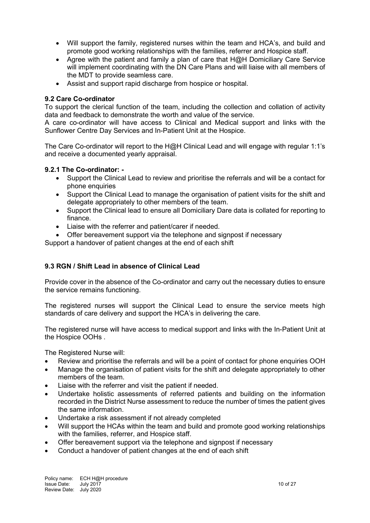- Will support the family, registered nurses within the team and HCA's, and build and promote good working relationships with the families, referrer and Hospice staff.
- Agree with the patient and family a plan of care that H@H Domiciliary Care Service will implement coordinating with the DN Care Plans and will liaise with all members of the MDT to provide seamless care.
- Assist and support rapid discharge from hospice or hospital.

### **9.2 Care Co-ordinator**

To support the clerical function of the team, including the collection and collation of activity data and feedback to demonstrate the worth and value of the service.

A care co-ordinator will have access to Clinical and Medical support and links with the Sunflower Centre Day Services and In-Patient Unit at the Hospice.

The Care Co-ordinator will report to the H@H Clinical Lead and will engage with regular 1:1's and receive a documented yearly appraisal.

### **9.2.1 The Co-ordinator: -**

- Support the Clinical Lead to review and prioritise the referrals and will be a contact for phone enquiries
- Support the Clinical Lead to manage the organisation of patient visits for the shift and delegate appropriately to other members of the team.
- Support the Clinical lead to ensure all Domiciliary Dare data is collated for reporting to finance.
- Liaise with the referrer and patient/carer if needed.
- Offer bereavement support via the telephone and signpost if necessary

Support a handover of patient changes at the end of each shift

## **9.3 RGN / Shift Lead in absence of Clinical Lead**

Provide cover in the absence of the Co-ordinator and carry out the necessary duties to ensure the service remains functioning.

The registered nurses will support the Clinical Lead to ensure the service meets high standards of care delivery and support the HCA's in delivering the care.

The registered nurse will have access to medical support and links with the In-Patient Unit at the Hospice OOHs .

The Registered Nurse will:

- Review and prioritise the referrals and will be a point of contact for phone enquiries OOH
- Manage the organisation of patient visits for the shift and delegate appropriately to other members of the team.
- Liaise with the referrer and visit the patient if needed.
- Undertake holistic assessments of referred patients and building on the information recorded in the District Nurse assessment to reduce the number of times the patient gives the same information.
- Undertake a risk assessment if not already completed
- Will support the HCAs within the team and build and promote good working relationships with the families, referrer, and Hospice staff.
- Offer bereavement support via the telephone and signpost if necessary
- Conduct a handover of patient changes at the end of each shift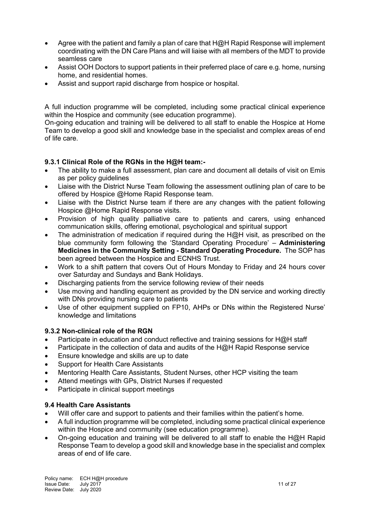- Agree with the patient and family a plan of care that H@H Rapid Response will implement coordinating with the DN Care Plans and will liaise with all members of the MDT to provide seamless care
- Assist OOH Doctors to support patients in their preferred place of care e.g. home, nursing home, and residential homes.
- Assist and support rapid discharge from hospice or hospital.

A full induction programme will be completed, including some practical clinical experience within the Hospice and community (see education programme).

On-going education and training will be delivered to all staff to enable the Hospice at Home Team to develop a good skill and knowledge base in the specialist and complex areas of end of life care.

## **9.3.1 Clinical Role of the RGNs in the H@H team:-**

- The ability to make a full assessment, plan care and document all details of visit on Emis as per policy guidelines
- Liaise with the District Nurse Team following the assessment outlining plan of care to be offered by Hospice @Home Rapid Response team.
- Liaise with the District Nurse team if there are any changes with the patient following Hospice @Home Rapid Response visits.
- Provision of high quality palliative care to patients and carers, using enhanced communication skills, offering emotional, psychological and spiritual support
- The administration of medication if required during the  $H\omega H$  visit, as prescribed on the blue community form following the 'Standard Operating Procedure' – **Administering Medicines in the Community Setting - Standard Operating Procedure.** The SOP has been agreed between the Hospice and ECNHS Trust.
- Work to a shift pattern that covers Out of Hours Monday to Friday and 24 hours cover over Saturday and Sundays and Bank Holidays.
- Discharging patients from the service following review of their needs
- Use moving and handling equipment as provided by the DN service and working directly with DNs providing nursing care to patients
- Use of other equipment supplied on FP10, AHPs or DNs within the Registered Nurse' knowledge and limitations

## **9.3.2 Non-clinical role of the RGN**

- Participate in education and conduct reflective and training sessions for H@H staff
- Participate in the collection of data and audits of the  $H(\mathbb{Q})$ H Rapid Response service
- Ensure knowledge and skills are up to date
- Support for Health Care Assistants
- Mentoring Health Care Assistants, Student Nurses, other HCP visiting the team
- Attend meetings with GPs, District Nurses if requested
- Participate in clinical support meetings

### **9.4 Health Care Assistants**

- Will offer care and support to patients and their families within the patient's home.
- A full induction programme will be completed, including some practical clinical experience within the Hospice and community (see education programme).
- On-going education and training will be delivered to all staff to enable the H@H Rapid Response Team to develop a good skill and knowledge base in the specialist and complex areas of end of life care.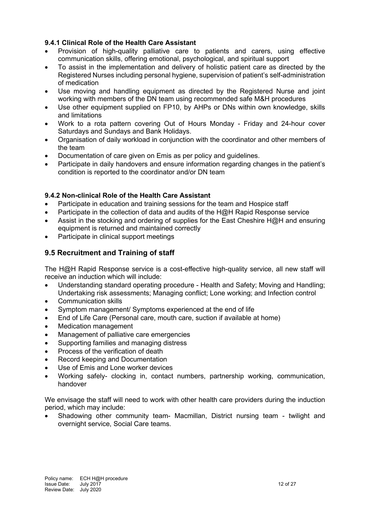## **9.4.1 Clinical Role of the Health Care Assistant**

- Provision of high-quality palliative care to patients and carers, using effective communication skills, offering emotional, psychological, and spiritual support
- To assist in the implementation and delivery of holistic patient care as directed by the Registered Nurses including personal hygiene, supervision of patient's self-administration of medication
- Use moving and handling equipment as directed by the Registered Nurse and joint working with members of the DN team using recommended safe M&H procedures
- Use other equipment supplied on FP10, by AHPs or DNs within own knowledge, skills and limitations
- Work to a rota pattern covering Out of Hours Monday Friday and 24-hour cover Saturdays and Sundays and Bank Holidays.
- Organisation of daily workload in conjunction with the coordinator and other members of the team
- Documentation of care given on Emis as per policy and guidelines.
- Participate in daily handovers and ensure information regarding changes in the patient's condition is reported to the coordinator and/or DN team

## **9.4.2 Non-clinical Role of the Health Care Assistant**

- Participate in education and training sessions for the team and Hospice staff
- Participate in the collection of data and audits of the H@H Rapid Response service
- Assist in the stocking and ordering of supplies for the East Cheshire H@H and ensuring equipment is returned and maintained correctly
- Participate in clinical support meetings

# **9.5 Recruitment and Training of staff**

The H@H Rapid Response service is a cost-effective high-quality service, all new staff will receive an induction which will include:

- Understanding standard operating procedure Health and Safety; Moving and Handling; Undertaking risk assessments; Managing conflict; Lone working; and Infection control
- Communication skills
- Symptom management/ Symptoms experienced at the end of life
- End of Life Care (Personal care, mouth care, suction if available at home)
- Medication management
- Management of palliative care emergencies
- Supporting families and managing distress
- Process of the verification of death
- Record keeping and Documentation
- Use of Emis and Lone worker devices
- Working safely- clocking in, contact numbers, partnership working, communication, handover

We envisage the staff will need to work with other health care providers during the induction period, which may include:

• Shadowing other community team- Macmillan, District nursing team - twilight and overnight service, Social Care teams.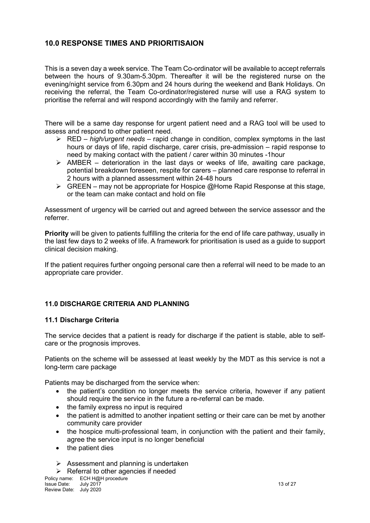# **10.0 RESPONSE TIMES AND PRIORITISAION**

This is a seven day a week service. The Team Co-ordinator will be available to accept referrals between the hours of 9.30am-5.30pm. Thereafter it will be the registered nurse on the evening/night service from 6.30pm and 24 hours during the weekend and Bank Holidays. On receiving the referral, the Team Co-ordinator/registered nurse will use a RAG system to prioritise the referral and will respond accordingly with the family and referrer.

There will be a same day response for urgent patient need and a RAG tool will be used to assess and respond to other patient need.

- RED *high/urgent needs* rapid change in condition, complex symptoms in the last hours or days of life, rapid discharge, carer crisis, pre-admission – rapid response to need by making contact with the patient / carer within 30 minutes -1hour
- $\triangleright$  AMBER deterioration in the last days or weeks of life, awaiting care package, potential breakdown foreseen, respite for carers – planned care response to referral in 2 hours with a planned assessment within 24-48 hours
- $\triangleright$  GREEN may not be appropriate for Hospice  $@$  Home Rapid Response at this stage, or the team can make contact and hold on file

Assessment of urgency will be carried out and agreed between the service assessor and the referrer.

**Priority** will be given to patients fulfilling the criteria for the end of life care pathway, usually in the last few days to 2 weeks of life. A framework for prioritisation is used as a guide to support clinical decision making.

If the patient requires further ongoing personal care then a referral will need to be made to an appropriate care provider.

## **11.0 DISCHARGE CRITERIA AND PLANNING**

### **11.1 Discharge Criteria**

The service decides that a patient is ready for discharge if the patient is stable, able to selfcare or the prognosis improves.

Patients on the scheme will be assessed at least weekly by the MDT as this service is not a long-term care package

Patients may be discharged from the service when:

- the patient's condition no longer meets the service criteria, however if any patient should require the service in the future a re-referral can be made.
- the family express no input is required
- the patient is admitted to another inpatient setting or their care can be met by another community care provider
- the hospice multi-professional team, in conjunction with the patient and their family, agree the service input is no longer beneficial
- the patient dies
- $\triangleright$  Assessment and planning is undertaken

 $\triangleright$  Referral to other agencies if needed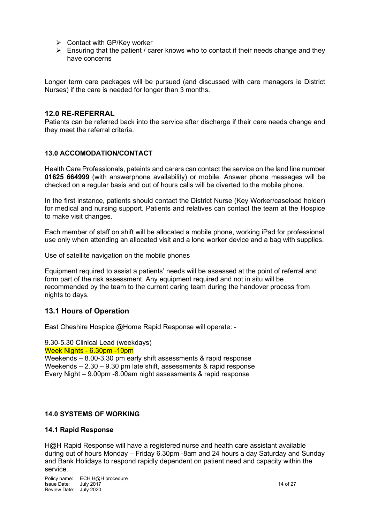- $\triangleright$  Contact with GP/Key worker
- $\triangleright$  Ensuring that the patient / carer knows who to contact if their needs change and they have concerns

Longer term care packages will be pursued (and discussed with care managers ie District Nurses) if the care is needed for longer than 3 months.

#### **12.0 RE-REFERRAL**

Patients can be referred back into the service after discharge if their care needs change and they meet the referral criteria.

#### **13.0 ACCOMODATION/CONTACT**

Health Care Professionals, pateints and carers can contact the service on the land line number **01625 664999** (with answerphone availability) or mobile. Answer phone messages will be checked on a regular basis and out of hours calls will be diverted to the mobile phone.

In the first instance, patients should contact the District Nurse (Key Worker/caseload holder) for medical and nursing support. Patients and relatives can contact the team at the Hospice to make visit changes.

Each member of staff on shift will be allocated a mobile phone, working iPad for professional use only when attending an allocated visit and a lone worker device and a bag with supplies.

Use of satellite navigation on the mobile phones

Equipment required to assist a patients' needs will be assessed at the point of referral and form part of the risk assessment. Any equipment required and not in situ will be recommended by the team to the current caring team during the handover process from nights to days.

### **13.1 Hours of Operation**

East Cheshire Hospice @Home Rapid Response will operate: -

### 9.30-5.30 Clinical Lead (weekdays)

Week Nights - 6.30pm -10pm

Weekends – 8.00-3.30 pm early shift assessments & rapid response Weekends – 2.30 – 9.30 pm late shift, assessments & rapid response Every Night – 9.00pm -8.00am night assessments & rapid response

#### **14.0 SYSTEMS OF WORKING**

#### **14.1 Rapid Response**

H@H Rapid Response will have a registered nurse and health care assistant available during out of hours Monday – Friday 6.30pm -8am and 24 hours a day Saturday and Sunday and Bank Holidays to respond rapidly dependent on patient need and capacity within the service.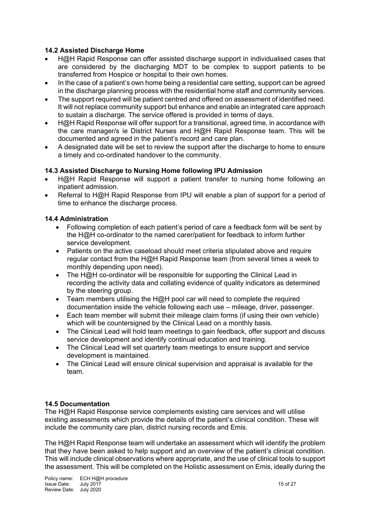### **14.2 Assisted Discharge Home**

- H@H Rapid Response can offer assisted discharge support in individualised cases that are considered by the discharging MDT to be complex to support patients to be transferred from Hospice or hospital to their own homes.
- In the case of a patient's own home being a residential care setting, support can be agreed in the discharge planning process with the residential home staff and community services.
- The support required will be patient centred and offered on assessment of identified need. It will not replace community support but enhance and enable an integrated care approach to sustain a discharge. The service offered is provided in terms of days.
- H@H Rapid Response will offer support for a transitional, agreed time, in accordance with the care manager/s ie District Nurses and H@H Rapid Response team. This will be documented and agreed in the patient's record and care plan.
- A designated date will be set to review the support after the discharge to home to ensure a timely and co-ordinated handover to the community.

## **14.3 Assisted Discharge to Nursing Home following IPU Admission**

- H@H Rapid Response will support a patient transfer to nursing home following an inpatient admission.
- Referral to H@H Rapid Response from IPU will enable a plan of support for a period of time to enhance the discharge process.

### **14.4 Administration**

- Following completion of each patient's period of care a feedback form will be sent by the H@H co-ordinator to the named carer/patient for feedback to inform further service development.
- Patients on the active caseload should meet criteria stipulated above and require regular contact from the H@H Rapid Response team (from several times a week to monthly depending upon need).
- The H@H co-ordinator will be responsible for supporting the Clinical Lead in recording the activity data and collating evidence of quality indicators as determined by the steering group.
- Team members utilising the H@H pool car will need to complete the required documentation inside the vehicle following each use – mileage, driver, passenger.
- Each team member will submit their mileage claim forms (if using their own vehicle) which will be countersigned by the Clinical Lead on a monthly basis.
- The Clinical Lead will hold team meetings to gain feedback, offer support and discuss service development and identify continual education and training.
- The Clinical Lead will set quarterly team meetings to ensure support and service development is maintained.
- The Clinical Lead will ensure clinical supervision and appraisal is available for the team.

### **14.5 Documentation**

The H@H Rapid Response service complements existing care services and will utilise existing assessments which provide the details of the patient's clinical condition. These will include the community care plan, district nursing records and Emis.

The H@H Rapid Response team will undertake an assessment which will identify the problem that they have been asked to help support and an overview of the patient's clinical condition. This will include clinical observations where appropriate, and the use of clinical tools to support the assessment. This will be completed on the Holistic assessment on Emis, ideally during the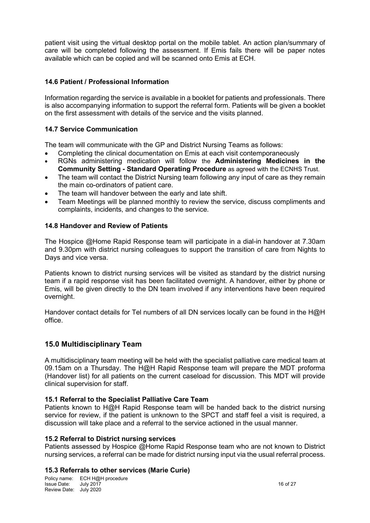patient visit using the virtual desktop portal on the mobile tablet. An action plan/summary of care will be completed following the assessment. If Emis fails there will be paper notes available which can be copied and will be scanned onto Emis at ECH.

### **14.6 Patient / Professional Information**

Information regarding the service is available in a booklet for patients and professionals. There is also accompanying information to support the referral form. Patients will be given a booklet on the first assessment with details of the service and the visits planned.

### **14.7 Service Communication**

The team will communicate with the GP and District Nursing Teams as follows:

- Completing the clinical documentation on Emis at each visit contemporaneously
- RGNs administering medication will follow the **Administering Medicines in the Community Setting - Standard Operating Procedure** as agreed with the ECNHS Trust.
- The team will contact the District Nursing team following any input of care as they remain the main co-ordinators of patient care.
- The team will handover between the early and late shift.
- Team Meetings will be planned monthly to review the service, discuss compliments and complaints, incidents, and changes to the service.

### **14.8 Handover and Review of Patients**

The Hospice @Home Rapid Response team will participate in a dial-in handover at 7.30am and 9.30pm with district nursing colleagues to support the transition of care from Nights to Days and vice versa.

Patients known to district nursing services will be visited as standard by the district nursing team if a rapid response visit has been facilitated overnight. A handover, either by phone or Emis, will be given directly to the DN team involved if any interventions have been required overnight.

Handover contact details for Tel numbers of all DN services locally can be found in the H@H office.

### **15.0 Multidisciplinary Team**

A multidisciplinary team meeting will be held with the specialist palliative care medical team at 09.15am on a Thursday. The H@H Rapid Response team will prepare the MDT proforma (Handover list) for all patients on the current caseload for discussion. This MDT will provide clinical supervision for staff.

### **15.1 Referral to the Specialist Palliative Care Team**

Patients known to H@H Rapid Response team will be handed back to the district nursing service for review, if the patient is unknown to the SPCT and staff feel a visit is required, a discussion will take place and a referral to the service actioned in the usual manner.

### **15.2 Referral to District nursing services**

Patients assessed by Hospice @Home Rapid Response team who are not known to District nursing services, a referral can be made for district nursing input via the usual referral process.

#### **15.3 Referrals to other services (Marie Curie)**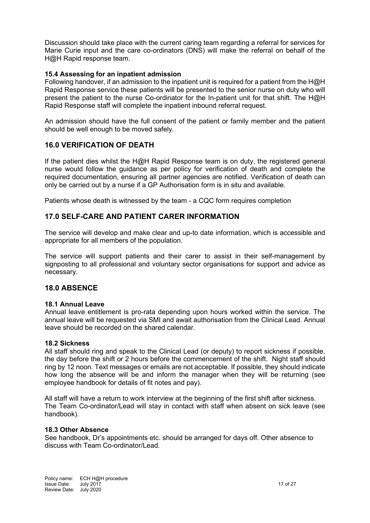Discussion should take place with the current caring team regarding a referral for services for Marie Curie input and the care co-ordinators (DNS) will make the referral on behalf of the H@H Rapid response team.

### **15.4 Assessing for an inpatient admission**

Following handover, if an admission to the inpatient unit is required for a patient from the H@H Rapid Response service these patients will be presented to the senior nurse on duty who will present the patient to the nurse Co-ordinator for the In-patient unit for that shift. The H@H Rapid Response staff will complete the inpatient inbound referral request.

An admission should have the full consent of the patient or family member and the patient should be well enough to be moved safely.

### **16.0 VERIFICATION OF DEATH**

If the patient dies whilst the H@H Rapid Response team is on duty, the registered general nurse would follow the guidance as per policy for verification of death and complete the required documentation, ensuring all partner agencies are notified. Verification of death can only be carried out by a nurse if a GP Authorisation form is in situ and available.

Patients whose death is witnessed by the team - a CQC form requires completion

### **17.0 SELF-CARE AND PATIENT CARER INFORMATION**

The service will develop and make clear and up-to date information, which is accessible and appropriate for all members of the population.

The service will support patients and their carer to assist in their self-management by signposting to all professional and voluntary sector organisations for support and advice as necessary.

### **18.0 ABSENCE**

#### **18.1 Annual Leave**

Annual leave entitlement is pro-rata depending upon hours worked within the service. The annual leave will be requested via SMI and await authorisation from the Clinical Lead. Annual leave should be recorded on the shared calendar.

#### **18.2 Sickness**

All staff should ring and speak to the Clinical Lead (or deputy) to report sickness if possible, the day before the shift or 2 hours before the commencement of the shift. Night staff should ring by 12 noon. Text messages or emails are not acceptable. If possible, they should indicate how long the absence will be and inform the manager when they will be returning (see employee handbook for details of fit notes and pay).

All staff will have a return to work interview at the beginning of the first shift after sickness. The Team Co-ordinator/Lead will stay in contact with staff when absent on sick leave (see handbook).

#### **18.3 Other Absence**

See handbook, Dr's appointments etc. should be arranged for days off. Other absence to discuss with Team Co-ordinator/Lead.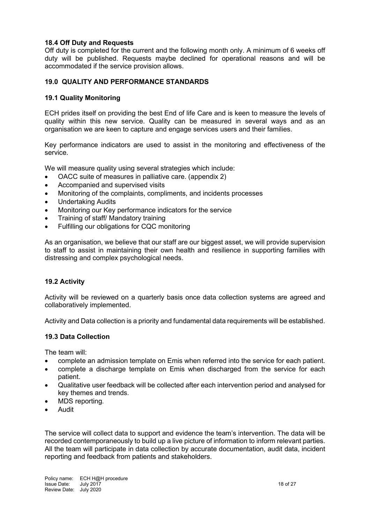### **18.4 Off Duty and Requests**

Off duty is completed for the current and the following month only. A minimum of 6 weeks off duty will be published. Requests maybe declined for operational reasons and will be accommodated if the service provision allows.

### **19.0 QUALITY AND PERFORMANCE STANDARDS**

### **19.1 Quality Monitoring**

ECH prides itself on providing the best End of life Care and is keen to measure the levels of quality within this new service. Quality can be measured in several ways and as an organisation we are keen to capture and engage services users and their families.

Key performance indicators are used to assist in the monitoring and effectiveness of the service.

We will measure quality using several strategies which include:

- OACC suite of measures in palliative care. (appendix 2)
- Accompanied and supervised visits
- Monitoring of the complaints, compliments, and incidents processes
- Undertaking Audits
- Monitoring our Key performance indicators for the service
- Training of staff/ Mandatory training
- Fulfilling our obligations for CQC monitoring

As an organisation, we believe that our staff are our biggest asset, we will provide supervision to staff to assist in maintaining their own health and resilience in supporting families with distressing and complex psychological needs.

### **19.2 Activity**

Activity will be reviewed on a quarterly basis once data collection systems are agreed and collaboratively implemented.

Activity and Data collection is a priority and fundamental data requirements will be established.

### **19.3 Data Collection**

The team will:

- complete an admission template on Emis when referred into the service for each patient.
- complete a discharge template on Emis when discharged from the service for each patient.
- Qualitative user feedback will be collected after each intervention period and analysed for key themes and trends.
- MDS reporting.
- Audit

The service will collect data to support and evidence the team's intervention. The data will be recorded contemporaneously to build up a live picture of information to inform relevant parties. All the team will participate in data collection by accurate documentation, audit data, incident reporting and feedback from patients and stakeholders.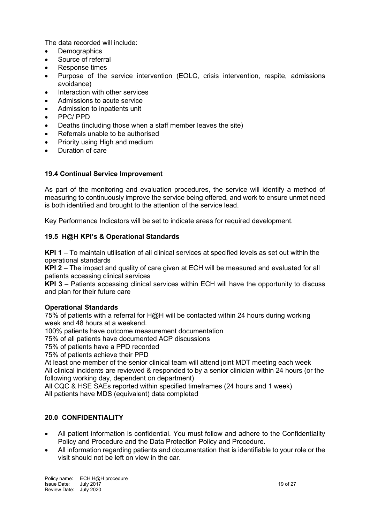The data recorded will include:

- **Demographics**
- Source of referral
- Response times
- Purpose of the service intervention (EOLC, crisis intervention, respite, admissions avoidance)
- Interaction with other services
- Admissions to acute service
- Admission to inpatients unit
- PPC/ PPD
- Deaths (including those when a staff member leaves the site)
- Referrals unable to be authorised
- Priority using High and medium
- Duration of care

### **19.4 Continual Service Improvement**

As part of the monitoring and evaluation procedures, the service will identify a method of measuring to continuously improve the service being offered, and work to ensure unmet need is both identified and brought to the attention of the service lead.

Key Performance Indicators will be set to indicate areas for required development.

### **19.5 H@H KPI's & Operational Standards**

**KPI 1** – To maintain utilisation of all clinical services at specified levels as set out within the operational standards

**KPI 2** – The impact and quality of care given at ECH will be measured and evaluated for all patients accessing clinical services

**KPI 3** – Patients accessing clinical services within ECH will have the opportunity to discuss and plan for their future care

### **Operational Standards**

75% of patients with a referral for H@H will be contacted within 24 hours during working week and 48 hours at a weekend.

100% patients have outcome measurement documentation

75% of all patients have documented ACP discussions

75% of patients have a PPD recorded

75% of patients achieve their PPD

At least one member of the senior clinical team will attend joint MDT meeting each week All clinical incidents are reviewed & responded to by a senior clinician within 24 hours (or the following working day, dependent on department)

All CQC & HSE SAEs reported within specified timeframes (24 hours and 1 week) All patients have MDS (equivalent) data completed

### **20.0 CONFIDENTIALITY**

- All patient information is confidential. You must follow and adhere to the Confidentiality Policy and Procedure and the Data Protection Policy and Procedure.
- All information regarding patients and documentation that is identifiable to your role or the visit should not be left on view in the car.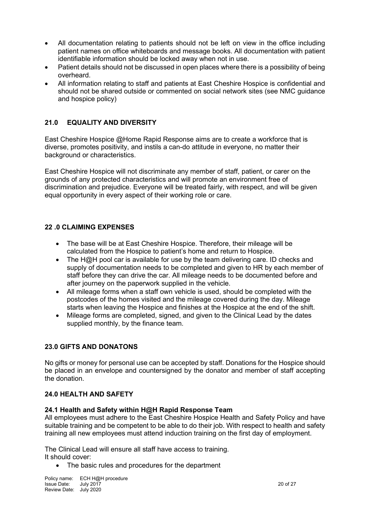- All documentation relating to patients should not be left on view in the office including patient names on office whiteboards and message books. All documentation with patient identifiable information should be locked away when not in use.
- Patient details should not be discussed in open places where there is a possibility of being overheard.
- All information relating to staff and patients at East Cheshire Hospice is confidential and should not be shared outside or commented on social network sites (see NMC guidance and hospice policy)

## **21.0 EQUALITY AND DIVERSITY**

East Cheshire Hospice @Home Rapid Response aims are to create a workforce that is diverse, promotes positivity, and instils a can-do attitude in everyone, no matter their background or characteristics.

East Cheshire Hospice will not discriminate any member of staff, patient, or carer on the grounds of any protected characteristics and will promote an environment free of discrimination and prejudice. Everyone will be treated fairly, with respect, and will be given equal opportunity in every aspect of their working role or care.

### **22 .0 CLAIMING EXPENSES**

- The base will be at East Cheshire Hospice. Therefore, their mileage will be calculated from the Hospice to patient's home and return to Hospice.
- The H@H pool car is available for use by the team delivering care. ID checks and supply of documentation needs to be completed and given to HR by each member of staff before they can drive the car. All mileage needs to be documented before and after journey on the paperwork supplied in the vehicle.
- All mileage forms when a staff own vehicle is used, should be completed with the postcodes of the homes visited and the mileage covered during the day. Mileage starts when leaving the Hospice and finishes at the Hospice at the end of the shift.
- Mileage forms are completed, signed, and given to the Clinical Lead by the dates supplied monthly, by the finance team.

### **23.0 GIFTS AND DONATONS**

No gifts or money for personal use can be accepted by staff. Donations for the Hospice should be placed in an envelope and countersigned by the donator and member of staff accepting the donation.

### **24.0 HEALTH AND SAFETY**

### **24.1 Health and Safety within H@H Rapid Response Team**

All employees must adhere to the East Cheshire Hospice Health and Safety Policy and have suitable training and be competent to be able to do their job. With respect to health and safety training all new employees must attend induction training on the first day of employment.

The Clinical Lead will ensure all staff have access to training. It should cover:

• The basic rules and procedures for the department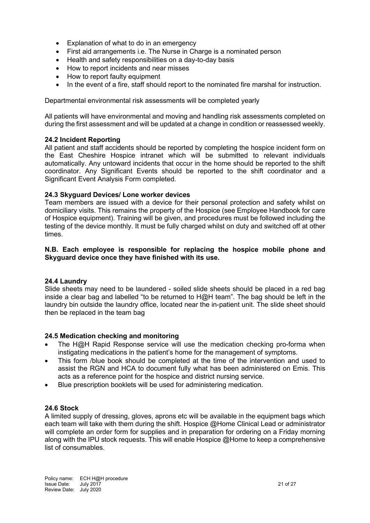- Explanation of what to do in an emergency
- First aid arrangements i.e. The Nurse in Charge is a nominated person
- Health and safety responsibilities on a day-to-day basis
- How to report incidents and near misses
- How to report faulty equipment
- In the event of a fire, staff should report to the nominated fire marshal for instruction.

Departmental environmental risk assessments will be completed yearly

All patients will have environmental and moving and handling risk assessments completed on during the first assessment and will be updated at a change in condition or reassessed weekly.

### **24.2 Incident Reporting**

All patient and staff accidents should be reported by completing the hospice incident form on the East Cheshire Hospice intranet which will be submitted to relevant individuals automatically. Any untoward incidents that occur in the home should be reported to the shift coordinator. Any Significant Events should be reported to the shift coordinator and a Significant Event Analysis Form completed.

### **24.3 Skyguard Devices/ Lone worker devices**

Team members are issued with a device for their personal protection and safety whilst on domiciliary visits. This remains the property of the Hospice (see Employee Handbook for care of Hospice equipment). Training will be given, and procedures must be followed including the testing of the device monthly. It must be fully charged whilst on duty and switched off at other times.

#### **N.B. Each employee is responsible for replacing the hospice mobile phone and Skyguard device once they have finished with its use.**

### **24.4 Laundry**

Slide sheets may need to be laundered - soiled slide sheets should be placed in a red bag inside a clear bag and labelled "to be returned to H@H team". The bag should be left in the laundry bin outside the laundry office, located near the in-patient unit. The slide sheet should then be replaced in the team bag

### **24.5 Medication checking and monitoring**

- The  $H@H$  Rapid Response service will use the medication checking pro-forma when instigating medications in the patient's home for the management of symptoms.
- This form /blue book should be completed at the time of the intervention and used to assist the RGN and HCA to document fully what has been administered on Emis. This acts as a reference point for the hospice and district nursing service.
- Blue prescription booklets will be used for administering medication.

### **24.6 Stock**

A limited supply of dressing, gloves, aprons etc will be available in the equipment bags which each team will take with them during the shift. Hospice @Home Clinical Lead or administrator will complete an order form for supplies and in preparation for ordering on a Friday morning along with the IPU stock requests. This will enable Hospice @Home to keep a comprehensive list of consumables.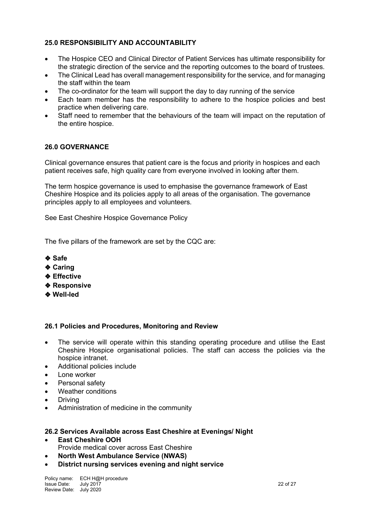### **25.0 RESPONSIBILITY AND ACCOUNTABILITY**

- The Hospice CEO and Clinical Director of Patient Services has ultimate responsibility for the strategic direction of the service and the reporting outcomes to the board of trustees.
- The Clinical Lead has overall management responsibility for the service, and for managing the staff within the team
- The co-ordinator for the team will support the day to day running of the service
- Each team member has the responsibility to adhere to the hospice policies and best practice when delivering care.
- Staff need to remember that the behaviours of the team will impact on the reputation of the entire hospice.

### **26.0 GOVERNANCE**

Clinical governance ensures that patient care is the focus and priority in hospices and each patient receives safe, high quality care from everyone involved in looking after them.

The term hospice governance is used to emphasise the governance framework of East Cheshire Hospice and its policies apply to all areas of the organisation. The governance principles apply to all employees and volunteers.

See East Cheshire Hospice Governance Policy

The five pillars of the framework are set by the CQC are:

- ❖ **Safe**
- ❖ **Caring**
- ❖ **Effective**
- ❖ **Responsive**
- ❖ **Well-led**

#### **26.1 Policies and Procedures, Monitoring and Review**

- The service will operate within this standing operating procedure and utilise the East Cheshire Hospice organisational policies. The staff can access the policies via the hospice intranet.
- Additional policies include
- Lone worker
- Personal safety
- Weather conditions
- **Driving**
- Administration of medicine in the community

#### **26.2 Services Available across East Cheshire at Evenings/ Night**

- **East Cheshire OOH** Provide medical cover across East Cheshire
- **North West Ambulance Service (NWAS)**
- **District nursing services evening and night service**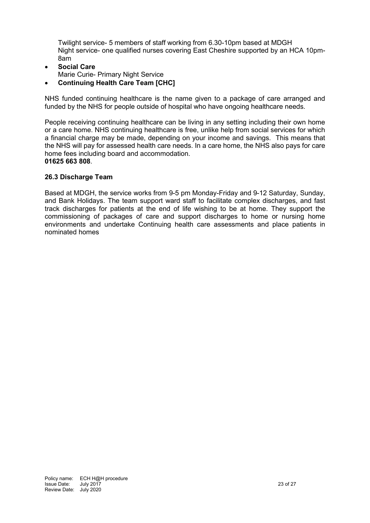Twilight service- 5 members of staff working from 6.30-10pm based at MDGH Night service- one qualified nurses covering East Cheshire supported by an HCA 10pm-8am

- **Social Care**
- Marie Curie- Primary Night Service
- **Continuing Health Care Team [CHC]**

NHS funded continuing healthcare is the name given to a package of care arranged and funded by the NHS for people outside of hospital who have ongoing healthcare needs.

People receiving continuing healthcare can be living in any setting including their own home or a care home. NHS continuing healthcare is free, unlike help from social services for which a financial charge may be made, depending on your income and savings. This means that the NHS will pay for assessed health care needs. In a care home, the NHS also pays for care home fees including board and accommodation. **01625 663 808**.

### **26.3 Discharge Team**

Based at MDGH, the service works from 9-5 pm Monday-Friday and 9-12 Saturday, Sunday, and Bank Holidays. The team support ward staff to facilitate complex discharges, and fast track discharges for patients at the end of life wishing to be at home. They support the commissioning of packages of care and support discharges to home or nursing home environments and undertake Continuing health care assessments and place patients in nominated homes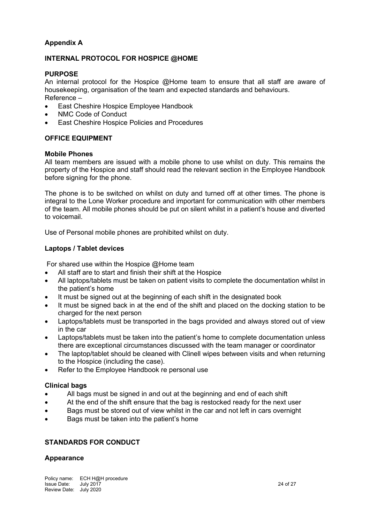## **Appendix A**

### **INTERNAL PROTOCOL FOR HOSPICE @HOME**

#### **PURPOSE**

An internal protocol for the Hospice @Home team to ensure that all staff are aware of housekeeping, organisation of the team and expected standards and behaviours. Reference –

- East Cheshire Hospice Employee Handbook
- NMC Code of Conduct
- East Cheshire Hospice Policies and Procedures

### **OFFICE EQUIPMENT**

#### **Mobile Phones**

All team members are issued with a mobile phone to use whilst on duty. This remains the property of the Hospice and staff should read the relevant section in the Employee Handbook before signing for the phone.

The phone is to be switched on whilst on duty and turned off at other times. The phone is integral to the Lone Worker procedure and important for communication with other members of the team. All mobile phones should be put on silent whilst in a patient's house and diverted to voicemail.

Use of Personal mobile phones are prohibited whilst on duty.

### **Laptops / Tablet devices**

For shared use within the Hospice @Home team

- All staff are to start and finish their shift at the Hospice
- All laptops/tablets must be taken on patient visits to complete the documentation whilst in the patient's home
- It must be signed out at the beginning of each shift in the designated book
- It must be signed back in at the end of the shift and placed on the docking station to be charged for the next person
- Laptops/tablets must be transported in the bags provided and always stored out of view in the car
- Laptops/tablets must be taken into the patient's home to complete documentation unless there are exceptional circumstances discussed with the team manager or coordinator
- The laptop/tablet should be cleaned with Clinell wipes between visits and when returning to the Hospice (including the case).
- Refer to the Employee Handbook re personal use

### **Clinical bags**

- All bags must be signed in and out at the beginning and end of each shift
- At the end of the shift ensure that the bag is restocked ready for the next user
- Bags must be stored out of view whilst in the car and not left in cars overnight
- Bags must be taken into the patient's home

### **STANDARDS FOR CONDUCT**

### **Appearance**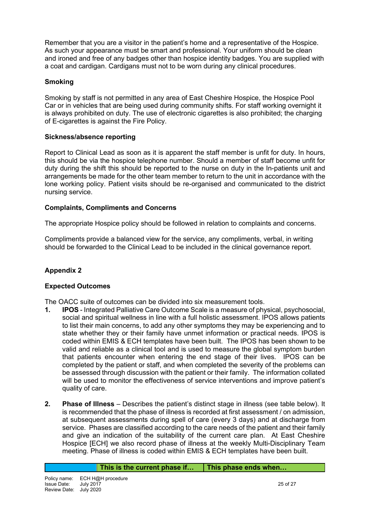Remember that you are a visitor in the patient's home and a representative of the Hospice. As such your appearance must be smart and professional. Your uniform should be clean and ironed and free of any badges other than hospice identity badges. You are supplied with a coat and cardigan. Cardigans must not to be worn during any clinical procedures.

## **Smoking**

Smoking by staff is not permitted in any area of East Cheshire Hospice, the Hospice Pool Car or in vehicles that are being used during community shifts. For staff working overnight it is always prohibited on duty. The use of electronic cigarettes is also prohibited; the charging of E-cigarettes is against the Fire Policy.

### **Sickness/absence reporting**

Report to Clinical Lead as soon as it is apparent the staff member is unfit for duty. In hours, this should be via the hospice telephone number. Should a member of staff become unfit for duty during the shift this should be reported to the nurse on duty in the In-patients unit and arrangements be made for the other team member to return to the unit in accordance with the lone working policy. Patient visits should be re-organised and communicated to the district nursing service.

### **Complaints, Compliments and Concerns**

The appropriate Hospice policy should be followed in relation to complaints and concerns.

Compliments provide a balanced view for the service, any compliments, verbal, in writing should be forwarded to the Clinical Lead to be included in the clinical governance report.

## **Appendix 2**

### **Expected Outcomes**

The OACC suite of outcomes can be divided into six measurement tools.

- **1. IPOS**  Integrated Palliative Care Outcome Scale is a measure of physical, psychosocial, social and spiritual wellness in line with a full holistic assessment. IPOS allows patients to list their main concerns, to add any other symptoms they may be experiencing and to state whether they or their family have unmet information or practical needs. IPOS is coded within EMIS & ECH templates have been built. The IPOS has been shown to be valid and reliable as a clinical tool and is used to measure the global symptom burden that patients encounter when entering the end stage of their lives. IPOS can be completed by the patient or staff, and when completed the severity of the problems can be assessed through discussion with the patient or their family. The information collated will be used to monitor the effectiveness of service interventions and improve patient's quality of care.
- **2. Phase of Illness** Describes the patient's distinct stage in illness (see table below). It is recommended that the phase of illness is recorded at first assessment / on admission, at subsequent assessments during spell of care (every 3 days) and at discharge from service. Phases are classified according to the care needs of the patient and their family and give an indication of the suitability of the current care plan. At East Cheshire Hospice [ECH] we also record phase of illness at the weekly Multi-Disciplinary Team meeting. Phase of illness is coded within EMIS & ECH templates have been built.

| This is the current phase if | This phase ends when |
|------------------------------|----------------------|
|------------------------------|----------------------|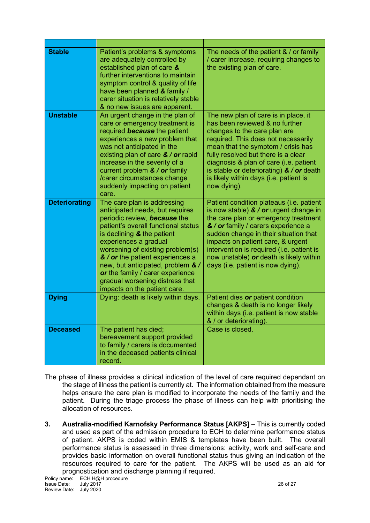| <b>Stable</b>        | Patient's problems & symptoms<br>are adequately controlled by<br>established plan of care &<br>further interventions to maintain<br>symptom control & quality of life<br>have been planned & family /<br>carer situation is relatively stable<br>& no new issues are apparent.                                                                                                                                     | The needs of the patient $& /$ or family<br>/ carer increase, requiring changes to<br>the existing plan of care.                                                                                                                                                                                                                                                                |
|----------------------|--------------------------------------------------------------------------------------------------------------------------------------------------------------------------------------------------------------------------------------------------------------------------------------------------------------------------------------------------------------------------------------------------------------------|---------------------------------------------------------------------------------------------------------------------------------------------------------------------------------------------------------------------------------------------------------------------------------------------------------------------------------------------------------------------------------|
| <b>Unstable</b>      | An urgent change in the plan of<br>care or emergency treatment is<br>required <b>because</b> the patient<br>experiences a new problem that<br>was not anticipated in the<br>existing plan of care & / or rapid<br>increase in the severity of a<br>current problem $\&\ /$ or family<br>/carer circumstances change<br>suddenly impacting on patient<br>care.                                                      | The new plan of care is in place, it<br>has been reviewed & no further<br>changes to the care plan are<br>required. This does not necessarily<br>mean that the symptom / crisis has<br>fully resolved but there is a clear<br>diagnosis & plan of care (i.e. patient<br>is stable or deteriorating) $\&\ /$ or death<br>is likely within days (i.e. patient is<br>now dying).   |
| <b>Deteriorating</b> | The care plan is addressing<br>anticipated needs, but requires<br>periodic review, because the<br>patient's overall functional status<br>is declining $\&$ the patient<br>experiences a gradual<br>worsening of existing problem(s)<br>& / or the patient experiences a<br>new, but anticipated, problem &/<br>or the family / carer experience<br>gradual worsening distress that<br>impacts on the patient care. | Patient condition plateaus (i.e. patient<br>is now stable) $\&$ / or urgent change in<br>the care plan or emergency treatment<br>& / or family / carers experience a<br>sudden change in their situation that<br>impacts on patient care, & urgent<br>intervention is required (i.e. patient is<br>now unstable) or death is likely within<br>days (i.e. patient is now dying). |
| <b>Dying</b>         | Dying: death is likely within days.                                                                                                                                                                                                                                                                                                                                                                                | Patient dies or patient condition<br>changes & death is no longer likely<br>within days (i.e. patient is now stable<br>& / or deteriorating).                                                                                                                                                                                                                                   |
| <b>Deceased</b>      | The patient has died;<br>bereavement support provided<br>to family / carers is documented<br>in the deceased patients clinical<br>record.                                                                                                                                                                                                                                                                          | Case is closed.                                                                                                                                                                                                                                                                                                                                                                 |

The phase of illness provides a clinical indication of the level of care required dependant on the stage of illness the patient is currently at. The information obtained from the measure helps ensure the care plan is modified to incorporate the needs of the family and the patient. During the triage process the phase of illness can help with prioritising the allocation of resources.

**3. Australia-modified Karnofsky Performance Status [AKPS]** – This is currently coded and used as part of the admission procedure to ECH to determine performance status of patient. AKPS is coded within EMIS & templates have been built. The overall performance status is assessed in three dimensions: activity, work and self-care and provides basic information on overall functional status thus giving an indication of the resources required to care for the patient. The AKPS will be used as an aid for prognostication and discharge planning if required.